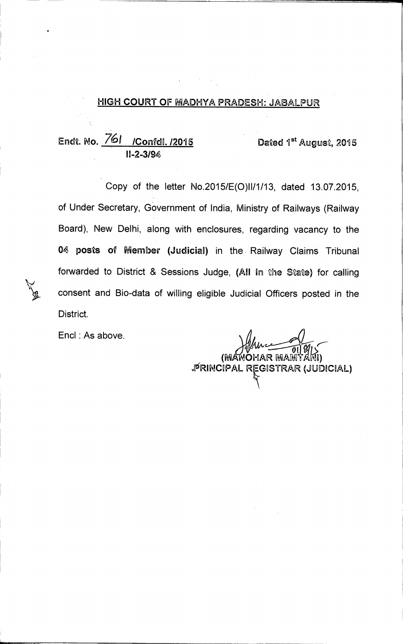### **HIGH COURT OF MADHYA PRADESH: JABALPUR**

## Endt. No. 761 / Confdl. /2015 **Dated 1st August, 2015 II-2-3/94**

**Copy of the letter No.2015/E(0)11/1/13, dated 13.07.2015, of Under Secretary, Government of India, Ministry of Railways (Railway Board), New Delhi, along with enclosures, regarding vacancy to the 04 posts of Member (Judicial) in the Railway Claims Tribunal forwarded to District & Sessions Judge, (All in the State) for calling consent and Bio-data of willing eligible Judicial Officers posted in the District.** 

Encl : As above.

**OHAR RfiAtIR 01** 

**iRINCIPAL RrISTRAR (JUDICIAL)**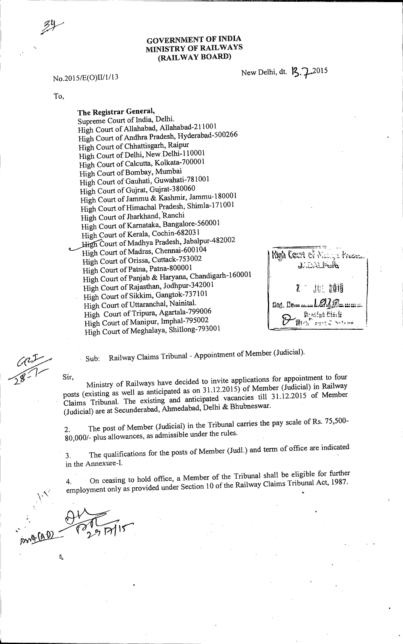### **GOVERNMENT OF INDIA**  n, **MINISTRY OF RAILWAYS (RAILWAY BOARD)**

No.2015/E(O)II/1/13 New Delhi, dt. 13.7 2015

To,

**The Registrar General,**  Supreme Court of India, Delhi. High Court of Allahabad, Allahabad-211001 High Court of Andhra Pradesh, Hyderabad-500266 High Court of Chhattisgarh, Raipur High Court of Delhi, New Delhi-110001 High Court of Calcutta, Kolkata-700001 High Court of Bombay, Mumbai High Court of Gauhati, Guwahati-781001 High Court of Gujrat, Gujrat-380060 High Court of Jammu & Kashmir, Jammu-180001 High Court of Himachal Pradesh, Shimla-171001 High Court of Jharkhand, Ranchi High Court of Karnataka, Bangalore-560001 High Court of Kerala, Cochin-682031 High Court of Madhya Pradesh, Jabalpur-482002 High Court of Madras, Chennai-600104 High Court of Orissa, Cuttack-753002 High Court of Patna, Patna-800001 High Court of Panjab & Haryana, Chandigarh-160001 High Court of Rajasthan, Jodhpur-342001 High Court of Sikkim, Gangtok-737101 High Court of Uttaranchal, Nainital. High Court of Tripura, Agartala-799006 High Court of Manipur, Imphal-795002 High Court of Meghalaya, Shillong-793001

**Migh Ceart of Machy's Frages.** JADALFUR. **July 2019**  $\mathbb{Z}$ **G06. pout** *••••* **Mpg • •**  Krasipt Cierk Mich ourt & betroo

Sub: Railway Claims Tribunal - Appointment of Member (Judicial).

Sir, Ministry of Railways have decided to invite applications for appointment to four posts (existing as well as anticipated as on 31.12.2015) of Member (Judicial) in Railway Claims Tribunal. The existing and anticipated vacancies till 31.12.2015 of Member (Judicial) are at Secunderabad, Ahmedabad, Delhi & Bhubneswar.

2. The post of Member (Judicial) in the Tribunal carries the pay scale of Rs. 75,500-80,000/- plus allowances, as admissible under the rules.

3. The qualifications for the posts of Member (Judi.) and term of office are indicated in the Annexure-I.

4. On ceasing to hold office, a Member of the Tribunal shall be eligible for further employment only as provided under Section 10 of the Railway Claims Tribunal Act, 1987.

Í,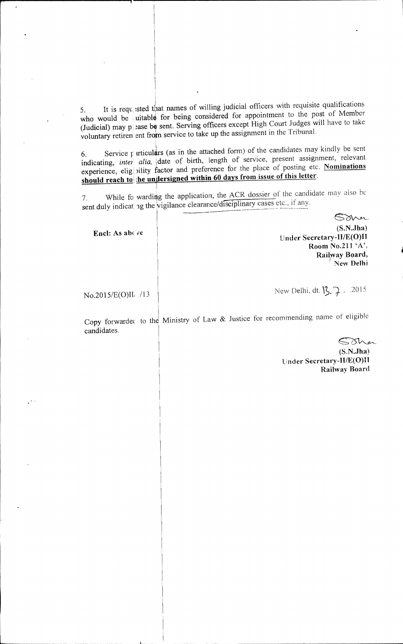It is requisited that names of willing judicial officers with requisite qualifications uitable for being considered for appointment to the post of Member (Judicial) may  $p$  ase be sent. Serving officers except High Court Judges will have to take voluntary retirent ent from service to take up the assignment in the Tribunal. 5. It is requ who would be

Service  $\mathbf{f}$  articulars (as in the attached form) of the candidates may kindly be sent 6. Service *f* articulars (as in the attached form) of the candidates may kindly be sent<br>indicating, *inter alia*, date of birth, length of service, present assignment, relevant experience, elig bility factor and preference for the place of posting etc. **Nominations** experience, elig bility factor and preference for the place of posting etc. **should reach to the undersigned within 60 days from issue of this letter.** indicating, *inter* 

While fo warding the application, the ACR dossier of the candidate may also be ag the vigilance clearance/disciplinary cases etc., if any. 7. While fo sent duly indicat

Encl: As above

Sava **(S.N.Jha) Under Secretary-II/E(0)I1 Room No.211 'A'. Railway Board,**  New Delhi

No.2015/E(O)II, ./13

New Delhi, dt.  $\sqrt{3}$ ,  $\sqrt{2}$ . .2015

Copy forwardec to the Ministry of Law & Justice for recommending name of eligible candidates.

Sina

(S.N.Jha) Under Secretary-II/E(0)II Railway Board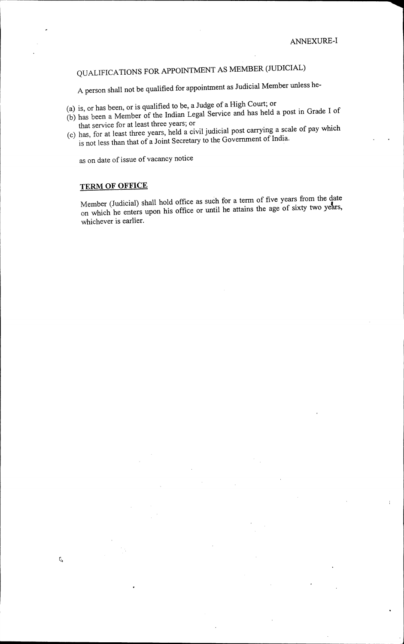# QUALIFICATIONS FOR APPOINTMENT AS MEMBER (JUDICIAL)

A person shall not be qualified for appointment as Judicial Member unless he-

- (a) is, or has been, or is qualified to be, a Judge of a High Court; or
- (b) has been a Member of the Indian Legal Service and has held a post in Grade I of that service for at least three years; or
- (c) has, for at least three years, held a civil judicial post carrying a scale of pay which is not less than that of a Joint Secretary to the Government of India.

as on date of issue of vacancy notice

### **TERM OF OFFICE**

 $\mathbb Q$ 

Member (Judicial) shall hold office as such for a term of five years from the date on which he enters upon his office or until he attains the age of sixty two years, whichever is earlier.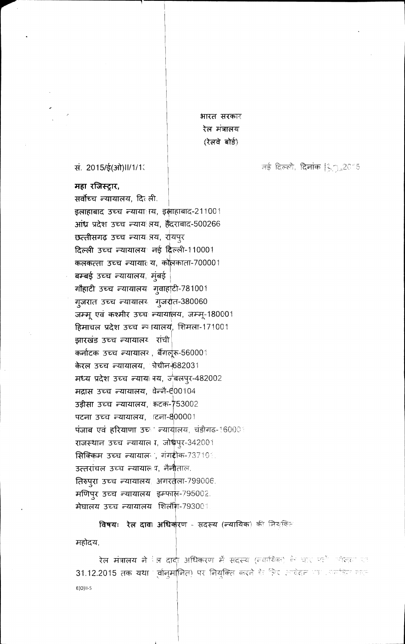भारत सरकार रेल मंत्रालय (रेलवे बोर्ड)

नई दिल्ली, **दिनांक |़ै**ु,2015

सं. 2015/ई(ओ)॥/1/1

महा रजिस्ट्रार, सर्वोच्च न्यायालय, दिल्ली. इलाहाबाद उच्च न्याया। य, इसाहाबाद-211001 आंध्र प्रदेश उच्च न्याय नय, हैदराबाद-500266 छत्तीसगढ़ उच्च न्याय नय, रायपुर दिल्ली उच्च न्यायालय नई दिल्ली-110001 कलकत्ता उच्च न्यायात य, कोलकाता-700001 बम्बई उच्च न्यायालय, मुंबई गौहाटी उच्च न्यायालयः गुवाहा़टी-781001 गुजरात उच्च न्यायालय गुजरात-380060 जम्मू एवं कश्मीर उच्च न्यायानय, जम्मू-180001 हिमाचल प्रदेश उच्च न्यायालय, शिमला-171001 झारखंड उच्च न्यायालय रांची कर्नाटक उच्च न्यायालर , बैंगलूरू-560001 केरल उच्च न्यायालय, नेचीन-682031 मध्य प्रदेश उच्च न्यायां गय, जूबलपुर-482002 मद्रास उच्च न्यायालय, वेन्नै- 600104 उड़ीसा उच्च न्यायालय, कटक-753002 पटना उच्च न्यायालय, टिना-800001 पंजाब एवं हरियाणा उच्च न्यायालय, चंडीगढ-160001 राजस्थान उच्च न्यायाल र, जोधंपूर-342001 **सिक्किम उच्च न्यायाल , गंग**ीक-737101. उत्तरांचल उच्च न्यायालय, नैनौताल. तिरुपुरा उच्च न्यायालय, अगरतुला-799006. मणिपुर उच्च न्यायालय इम्फार्फ़-795002. मेघालय उच्च न्यायालयः शिलौंग-79300 ।

विषयः रेल दाव अधिकरण - सदस्य (न्यायिक) की जियकि महोदय,

रेल मंत्रालय ने <sup>पू</sup>ल दावी अधिकरण में सदस्य (त्यायिक) के पार पर्ह कोलता रह 31.12.2015 तक यथा (र्वानुमानित) पर नियुक्ति करने के लिए अपदेदन पत्र अतर्किए करत  $E(O)$ II-S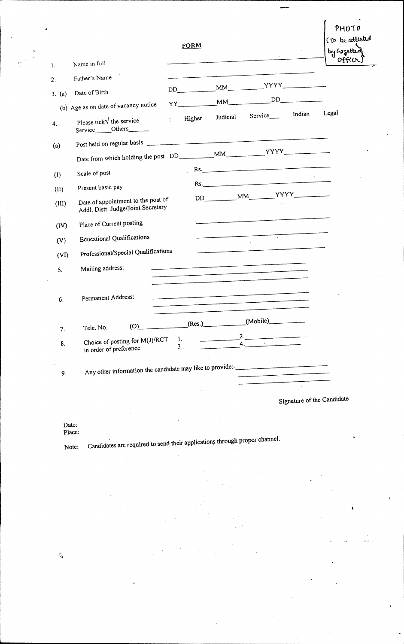|        |                                                                                      | <b>FORM</b>                   |          |                             |                            | PHOTO<br>(To be attested<br>by hazetted |
|--------|--------------------------------------------------------------------------------------|-------------------------------|----------|-----------------------------|----------------------------|-----------------------------------------|
| 1.     | Name in full                                                                         |                               |          |                             |                            | offio                                   |
| 2.     | Father's Name                                                                        |                               |          |                             |                            |                                         |
| 3. (a) | Date of Birth                                                                        |                               |          | $DD$ $MM$ $YYYY$ $YYYY$ $Y$ |                            |                                         |
|        | (b) Age as on date of vacancy notice                                                 | $YY$ $MM$                     |          |                             | DD                         |                                         |
| 4.     | Please tick \ the service<br>Service_____Others______                                | Higher<br>$\mathcal{L}^{\pm}$ | Judicial | Service_______ Indian       |                            | Legal                                   |
| (a)    |                                                                                      |                               |          |                             |                            |                                         |
|        |                                                                                      |                               |          |                             |                            |                                         |
| (1)    | Scale of post                                                                        |                               |          | Rs.                         |                            |                                         |
| (II)   | Present basic pay                                                                    |                               |          | Rs.                         |                            |                                         |
| (III)  | Date of appointment to the post of<br>Addl. Distt. Judge/Joint Secretary             |                               |          |                             |                            |                                         |
| (IV)   | Place of Current posting                                                             |                               |          |                             |                            |                                         |
| (V)    | <b>Educational Qualifications</b>                                                    |                               |          | ┯                           |                            |                                         |
| (VI)   | Professional/Special Qualifications                                                  |                               |          |                             |                            |                                         |
| 5.     | Mailing address:                                                                     |                               |          |                             |                            |                                         |
| 6.     | Permanent Address:                                                                   |                               |          |                             |                            |                                         |
| 7.     | $(O)$ _<br>Tele. No.                                                                 | (Res.)                        |          | (Mobile)                    |                            |                                         |
| 8.     | Choice of posting for M(J)/RCT<br>in order of preference                             | 1.<br>3.1                     |          | 2.<br>4.                    |                            |                                         |
| 9.     | Any other information the candidate may like to provide:-________________________    |                               |          |                             |                            |                                         |
|        |                                                                                      |                               |          |                             | Signature of the Candidate |                                         |
| Date:  | Place:<br>Candidates are required to send their applications through proper channel. |                               |          |                             |                            | ٠                                       |

 $\zeta$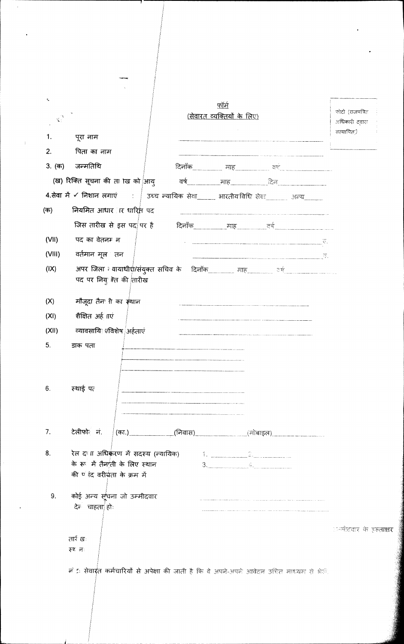| $\tau_{\rm a}$               |                                                                                                              | फॉर्म                             |           |                                                     | फ़ोटो (राजपत्रित               |
|------------------------------|--------------------------------------------------------------------------------------------------------------|-----------------------------------|-----------|-----------------------------------------------------|--------------------------------|
| $\mathbf{v}_i^{\mathcal{N}}$ |                                                                                                              | <u>(सेवारत व्यक्तियों के लिए)</u> |           |                                                     | अधिकारी दवारा                  |
| 1.                           | पूरा नाम                                                                                                     |                                   |           |                                                     | सत्यापित)                      |
| 2.                           | पिता का नाम                                                                                                  |                                   |           |                                                     |                                |
| 3. (क)                       | जन्मतिथि                                                                                                     |                                   |           | दिनाँक__________ माह____________ वर्ष _____________ |                                |
|                              | (ख) रिक्ति सूचना की ता ाख को आयु                                                                             | वर्ष <u>- माह त्यस्य दिन</u>      |           |                                                     |                                |
|                              | 4.सेवा में ४ निशान लगाएं :   उच्च न्यायिक सेवा_____ भारतीयविधि सेवा______ अन्य______                         |                                   |           |                                                     |                                |
| (क)                          | नियमित आधार । र धारित पद                                                                                     |                                   |           |                                                     |                                |
|                              | जिस तारीख से इस पद पर है                                                                                     |                                   |           |                                                     |                                |
| (VII)                        | पद का वेतनम न                                                                                                |                                   |           |                                                     |                                |
| (VIII)                       | वर्तमान मूल तन                                                                                               |                                   |           |                                                     |                                |
| (IX)                         | अपर जिला व्यायाधीशै/संयुक्त सचिव के दिनॉक माह साह उर्ष सामाना कर्ण                                           |                                   |           |                                                     |                                |
|                              | पद पर नियू रेत की तारीख                                                                                      |                                   |           |                                                     |                                |
| (X)                          | मौजूदा तैन ीी का स्थान                                                                                       |                                   |           |                                                     |                                |
| (XI)                         | शैक्षित अर्ह गएं                                                                                             |                                   |           |                                                     |                                |
| (XII)                        | व्यावसायि 7 विशेष अर्हताएं                                                                                   |                                   |           |                                                     |                                |
| 5.                           | डाक पता                                                                                                      |                                   |           |                                                     |                                |
| 6.                           | स्थाई पत                                                                                                     |                                   |           |                                                     |                                |
| 7.                           | टेलीफो नं.                                                                                                   |                                   |           | (का.) (निवास) (निवास) (मोबाइल) (कोलाइल)             |                                |
| 8.                           | रेल दाला अधिकंरण में सदस्य (न्यायिक) विकार विकार कार्यालय के सारक में सदस्य (न्यायिक) विकार कार्यालय के सारक |                                   |           |                                                     |                                |
|                              | के रूप में तैनाती के लिए स्थान                                                                               |                                   | $3.$ $4.$ |                                                     |                                |
|                              | की <sup>ए</sup> रंद वरीचता के क्रम में                                                                       |                                   |           |                                                     |                                |
| 9.                           | कोई अन्य सूचना जो उम्मीदवार<br>देन चाहता हो:                                                                 |                                   |           |                                                     |                                |
|                              |                                                                                                              |                                   |           |                                                     | ान्मीदवार के इस् <b>ताक्षर</b> |
|                              | तार्रः खः<br>स्था मः                                                                                         |                                   |           |                                                     |                                |
|                              | नें 5: <b>सेवार्ग्त कर्मचारियों से अपेक्षा</b> की जाती है कि वे अपने-अपने आवेदन उच्चित माध्यम से भेती.       |                                   |           |                                                     |                                |
|                              |                                                                                                              |                                   |           |                                                     |                                |
|                              |                                                                                                              |                                   |           |                                                     |                                |

 $\ddot{\cdot}$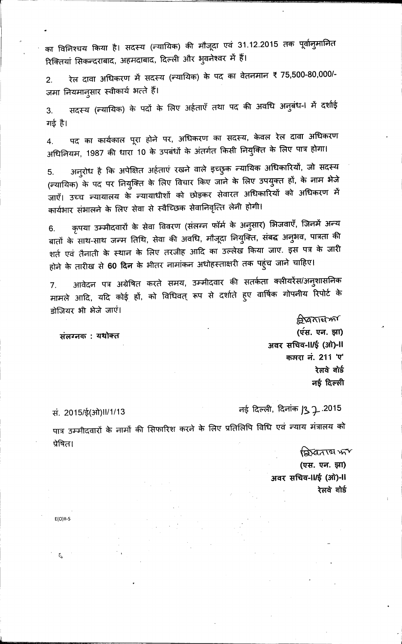का विनिश्चय किया है। सदस्य (न्यायिक) की मौजूदा एवं 31.12.2015 तक पूर्वानुमानित रिक्तियां सिकन्दराबाद, अहमदाबाद, दिल्ली और भुवनेश्वर में हैं।

रेल दावा अधिकरण में सदस्य (न्यायिक) के पद का वेतनमान ₹ 75,500-80,000/- $2.$ जमा नियमानुसार स्वीकार्य भत्ते हैं।

सदस्य (न्यायिक) के पदों के लिए अर्हताएँ तथा पद की अवधि अनुबंध-। में दर्शाई 3. गई है।

पद का कार्यकाल पूरा होने पर, अधिकरण का सदस्य, केवल रेल दावा अधिकरण 4. अधिनियम, 1987 की धारा 10 के उपबंधों के अंतर्गत किसी नियुक्ति के लिए पात्र होगा।

अनुरोध है कि अपेक्षित अर्हताएं रखने वाले इच्छुक न्यायिक अधिकारियों, जो सदस्य 5. (न्यायिक) के पद पर नियुक्ति के लिए विचार किए जाने के लिए उपयुक्त हों, के नाम भेजे जाएँ। उच्च न्यायालय के न्यायाधीशों को छोड़कर सेवारत अधिकारियों को अधिकरण में कार्यभार संभालने के लिए सेवा से स्वैच्छिक सेवानिवृत्ति लेनी होगी।

कृपया उम्मीदवारों के सेवा विवरण (संलग्न फॉर्म के अनुसार) भिजवाएँ, जिनमें अन्य 6. बातों के साथ-साथ जन्म तिथि, सेवा की अवधि, मौजूदा नियुक्ति, संबद्ध अनुभव, पात्रता की शर्त एवं तैनाती के स्थान के लिए तरजीह आदि का उल्लेख किया जाए. इस पत्र के जारी होने के तारीख से 60 दिन के भीतर नामांकन अधोहस्ताक्षरी तक पहुंच जाने चाहिए।

आवेदन पत्र अग्रेषित करते समय, उम्मीदवार की सतर्कता क्लीयरेंस/अन्**शासनिक** 7. मामले आदि, यदि कोई हों, को विधिवत् रूप से दर्शाते हुए वार्षिक गोपनीय रिपोर्ट के डोजियर भी भेजे जाएं।

संलग्नक: यथोक्त

**रियतार्य फर्ग** (एस. एन. झा) अवर सचिव-II/ई (ओ)-II कमरा नं. 211 'ए' रेलवे बोर्ड नई दिल्ली

सं. 2015/ई(ओ)॥/1/13

 $E(O)$ II-S

t,

नई दिल्ली, दिनांक 13 7.2015

पात्र उम्मीदवारों के नामों की सिफारिश करने के लिए प्रतिलिपि विधि एवं न्याय मंत्रालय को प्रेषित।

testantano (एस. एन. झा) अवर सचिव-II/ई (ओ)-II रेलवे बोर्ड